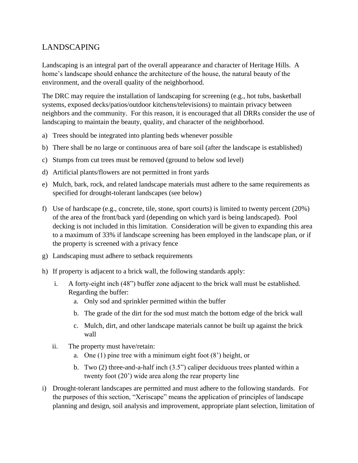## LANDSCAPING

Landscaping is an integral part of the overall appearance and character of Heritage Hills. A home's landscape should enhance the architecture of the house, the natural beauty of the environment, and the overall quality of the neighborhood.

The DRC may require the installation of landscaping for screening (e.g., hot tubs, basketball systems, exposed decks/patios/outdoor kitchens/televisions) to maintain privacy between neighbors and the community. For this reason, it is encouraged that all DRRs consider the use of landscaping to maintain the beauty, quality, and character of the neighborhood.

- a) Trees should be integrated into planting beds whenever possible
- b) There shall be no large or continuous area of bare soil (after the landscape is established)
- c) Stumps from cut trees must be removed (ground to below sod level)
- d) Artificial plants/flowers are not permitted in front yards
- e) Mulch, bark, rock, and related landscape materials must adhere to the same requirements as specified for drought-tolerant landscapes (see below)
- f) Use of hardscape (e.g., concrete, tile, stone, sport courts) is limited to twenty percent (20%) of the area of the front/back yard (depending on which yard is being landscaped). Pool decking is not included in this limitation. Consideration will be given to expanding this area to a maximum of 33% if landscape screening has been employed in the landscape plan, or if the property is screened with a privacy fence
- g) Landscaping must adhere to setback requirements
- h) If property is adjacent to a brick wall, the following standards apply:
	- i. A forty-eight inch (48") buffer zone adjacent to the brick wall must be established. Regarding the buffer:
		- a. Only sod and sprinkler permitted within the buffer
		- b. The grade of the dirt for the sod must match the bottom edge of the brick wall
		- c. Mulch, dirt, and other landscape materials cannot be built up against the brick wall
	- ii. The property must have/retain:
		- a. One  $(1)$  pine tree with a minimum eight foot  $(8)$  height, or
		- b. Two (2) three-and-a-half inch (3.5") caliper deciduous trees planted within a twenty foot (20') wide area along the rear property line
- i) Drought-tolerant landscapes are permitted and must adhere to the following standards. For the purposes of this section, "Xeriscape" means the application of principles of landscape planning and design, soil analysis and improvement, appropriate plant selection, limitation of